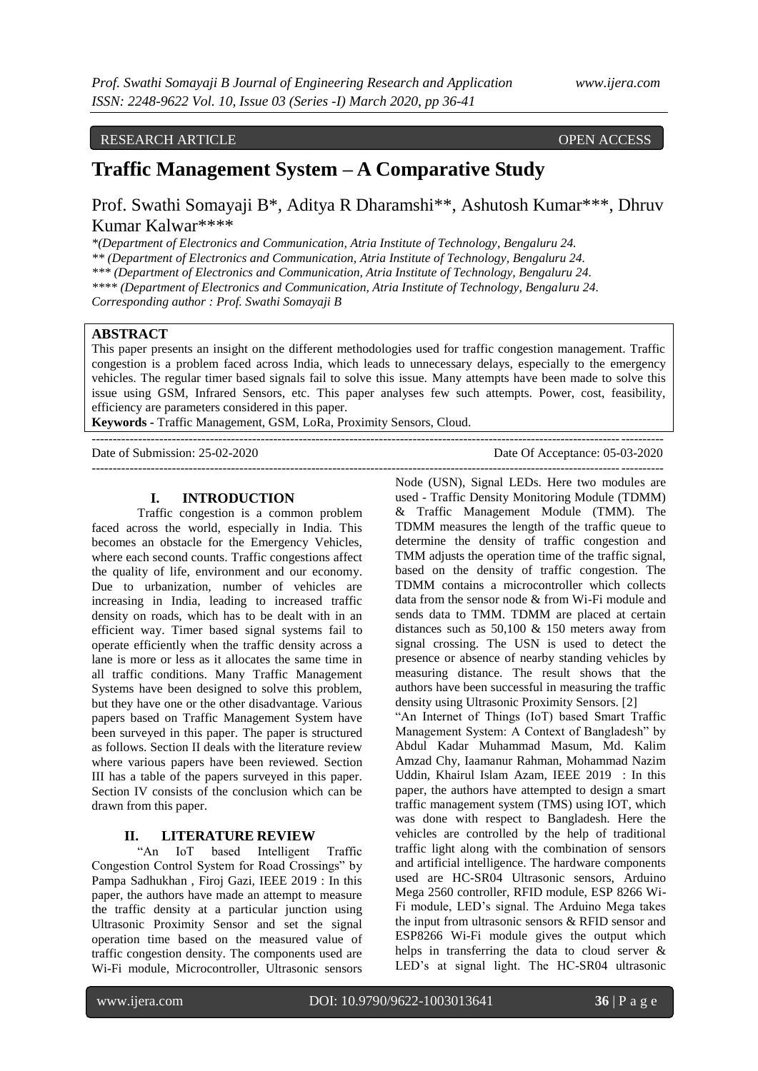### RESEARCH ARTICLE OPEN ACCESS

## **Traffic Management System – A Comparative Study**

Prof. Swathi Somayaji B\*, Aditya R Dharamshi\*\*, Ashutosh Kumar\*\*\*, Dhruv Kumar Kalwar\*\*\*\*

*\*(Department of Electronics and Communication, Atria Institute of Technology, Bengaluru 24. \*\* (Department of Electronics and Communication, Atria Institute of Technology, Bengaluru 24. \*\*\* (Department of Electronics and Communication, Atria Institute of Technology, Bengaluru 24. \*\*\*\* (Department of Electronics and Communication, Atria Institute of Technology, Bengaluru 24. Corresponding author : Prof. Swathi Somayaji B*

#### **ABSTRACT**

This paper presents an insight on the different methodologies used for traffic congestion management. Traffic congestion is a problem faced across India, which leads to unnecessary delays, especially to the emergency vehicles. The regular timer based signals fail to solve this issue. Many attempts have been made to solve this issue using GSM, Infrared Sensors, etc. This paper analyses few such attempts. Power, cost, feasibility, efficiency are parameters considered in this paper.

**Keywords -** Traffic Management, GSM, LoRa, Proximity Sensors, Cloud. ---------------------------------------------------------------------------------------------------------------------------------------

Date of Submission: 25-02-2020 Date Of Acceptance: 05-03-2020

#### **I. INTRODUCTION**

Traffic congestion is a common problem faced across the world, especially in India. This becomes an obstacle for the Emergency Vehicles, where each second counts. Traffic congestions affect the quality of life, environment and our economy. Due to urbanization, number of vehicles are increasing in India, leading to increased traffic density on roads, which has to be dealt with in an efficient way. Timer based signal systems fail to operate efficiently when the traffic density across a lane is more or less as it allocates the same time in all traffic conditions. Many Traffic Management Systems have been designed to solve this problem, but they have one or the other disadvantage. Various papers based on Traffic Management System have been surveyed in this paper. The paper is structured as follows. Section II deals with the literature review where various papers have been reviewed. Section III has a table of the papers surveyed in this paper. Section IV consists of the conclusion which can be drawn from this paper.

#### **II. LITERATURE REVIEW**

"An IoT based Intelligent Traffic Congestion Control System for Road Crossings" by Pampa Sadhukhan , Firoj Gazi, IEEE 2019 : In this paper, the authors have made an attempt to measure the traffic density at a particular junction using Ultrasonic Proximity Sensor and set the signal operation time based on the measured value of traffic congestion density. The components used are Wi-Fi module, Microcontroller, Ultrasonic sensors

--------------------------------------------------------------------------------------------------------------------------------------- Node (USN), Signal LEDs. Here two modules are used - Traffic Density Monitoring Module (TDMM) & Traffic Management Module (TMM). The TDMM measures the length of the traffic queue to determine the density of traffic congestion and TMM adjusts the operation time of the traffic signal, based on the density of traffic congestion. The TDMM contains a microcontroller which collects data from the sensor node & from Wi-Fi module and sends data to TMM. TDMM are placed at certain distances such as 50,100 & 150 meters away from signal crossing. The USN is used to detect the presence or absence of nearby standing vehicles by measuring distance. The result shows that the authors have been successful in measuring the traffic density using Ultrasonic Proximity Sensors. [2] "An Internet of Things (IoT) based Smart Traffic Management System: A Context of Bangladesh" by

Abdul Kadar Muhammad Masum, Md. Kalim Amzad Chy, Iaamanur Rahman, Mohammad Nazim Uddin, Khairul Islam Azam, IEEE 2019 : In this paper, the authors have attempted to design a smart traffic management system (TMS) using IOT, which was done with respect to Bangladesh. Here the vehicles are controlled by the help of traditional traffic light along with the combination of sensors and artificial intelligence. The hardware components used are HC-SR04 Ultrasonic sensors, Arduino Mega 2560 controller, RFID module, ESP 8266 Wi-Fi module, LED's signal. The Arduino Mega takes the input from ultrasonic sensors & RFID sensor and ESP8266 Wi-Fi module gives the output which helps in transferring the data to cloud server & LED's at signal light. The HC-SR04 ultrasonic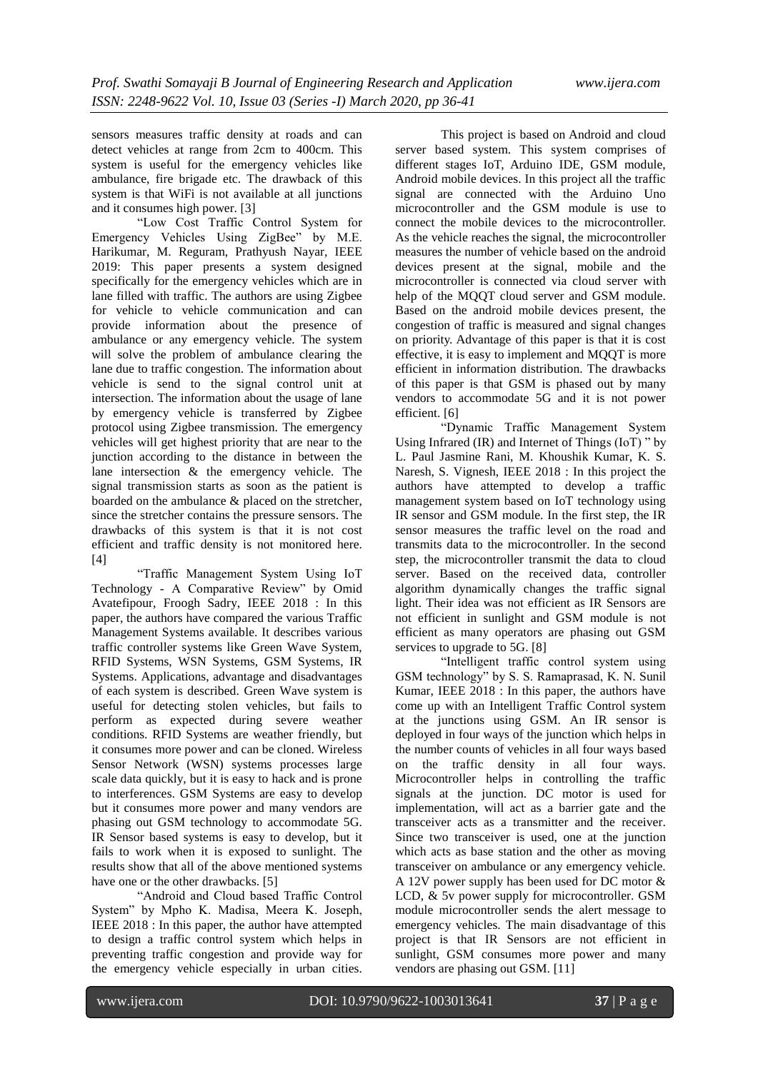sensors measures traffic density at roads and can detect vehicles at range from 2cm to 400cm. This system is useful for the emergency vehicles like ambulance, fire brigade etc. The drawback of this system is that WiFi is not available at all junctions and it consumes high power. [3]

"Low Cost Traffic Control System for Emergency Vehicles Using ZigBee" by M.E. Harikumar, M. Reguram, Prathyush Nayar, IEEE 2019: This paper presents a system designed specifically for the emergency vehicles which are in lane filled with traffic. The authors are using Zigbee for vehicle to vehicle communication and can provide information about the presence of ambulance or any emergency vehicle. The system will solve the problem of ambulance clearing the lane due to traffic congestion. The information about vehicle is send to the signal control unit at intersection. The information about the usage of lane by emergency vehicle is transferred by Zigbee protocol using Zigbee transmission. The emergency vehicles will get highest priority that are near to the junction according to the distance in between the lane intersection & the emergency vehicle. The signal transmission starts as soon as the patient is boarded on the ambulance & placed on the stretcher, since the stretcher contains the pressure sensors. The drawbacks of this system is that it is not cost efficient and traffic density is not monitored here. [4]

"Traffic Management System Using IoT Technology - A Comparative Review" by Omid Avatefipour, Froogh Sadry, IEEE 2018 : In this paper, the authors have compared the various Traffic Management Systems available. It describes various traffic controller systems like Green Wave System, RFID Systems, WSN Systems, GSM Systems, IR Systems. Applications, advantage and disadvantages of each system is described. Green Wave system is useful for detecting stolen vehicles, but fails to perform as expected during severe weather conditions. RFID Systems are weather friendly, but it consumes more power and can be cloned. Wireless Sensor Network (WSN) systems processes large scale data quickly, but it is easy to hack and is prone to interferences. GSM Systems are easy to develop but it consumes more power and many vendors are phasing out GSM technology to accommodate 5G. IR Sensor based systems is easy to develop, but it fails to work when it is exposed to sunlight. The results show that all of the above mentioned systems have one or the other drawbacks. [5]

"Android and Cloud based Traffic Control System" by Mpho K. Madisa, Meera K. Joseph, IEEE 2018 : In this paper, the author have attempted to design a traffic control system which helps in preventing traffic congestion and provide way for the emergency vehicle especially in urban cities.

This project is based on Android and cloud server based system. This system comprises of different stages IoT, Arduino IDE, GSM module, Android mobile devices. In this project all the traffic signal are connected with the Arduino Uno microcontroller and the GSM module is use to connect the mobile devices to the microcontroller. As the vehicle reaches the signal, the microcontroller measures the number of vehicle based on the android devices present at the signal, mobile and the microcontroller is connected via cloud server with help of the MQQT cloud server and GSM module. Based on the android mobile devices present, the congestion of traffic is measured and signal changes on priority. Advantage of this paper is that it is cost effective, it is easy to implement and MQQT is more efficient in information distribution. The drawbacks of this paper is that GSM is phased out by many vendors to accommodate 5G and it is not power efficient. [6]

"Dynamic Traffic Management System Using Infrared (IR) and Internet of Things (IoT) " by L. Paul Jasmine Rani, M. Khoushik Kumar, K. S. Naresh, S. Vignesh, IEEE 2018 : In this project the authors have attempted to develop a traffic management system based on IoT technology using IR sensor and GSM module. In the first step, the IR sensor measures the traffic level on the road and transmits data to the microcontroller. In the second step, the microcontroller transmit the data to cloud server. Based on the received data, controller algorithm dynamically changes the traffic signal light. Their idea was not efficient as IR Sensors are not efficient in sunlight and GSM module is not efficient as many operators are phasing out GSM services to upgrade to 5G. [8]

"Intelligent traffic control system using GSM technology" by S. S. Ramaprasad, K. N. Sunil Kumar, IEEE 2018 : In this paper, the authors have come up with an Intelligent Traffic Control system at the junctions using GSM. An IR sensor is deployed in four ways of the junction which helps in the number counts of vehicles in all four ways based on the traffic density in all four ways. Microcontroller helps in controlling the traffic signals at the junction. DC motor is used for implementation, will act as a barrier gate and the transceiver acts as a transmitter and the receiver. Since two transceiver is used, one at the junction which acts as base station and the other as moving transceiver on ambulance or any emergency vehicle. A 12V power supply has been used for DC motor & LCD, & 5v power supply for microcontroller. GSM module microcontroller sends the alert message to emergency vehicles. The main disadvantage of this project is that IR Sensors are not efficient in sunlight, GSM consumes more power and many vendors are phasing out GSM. [11]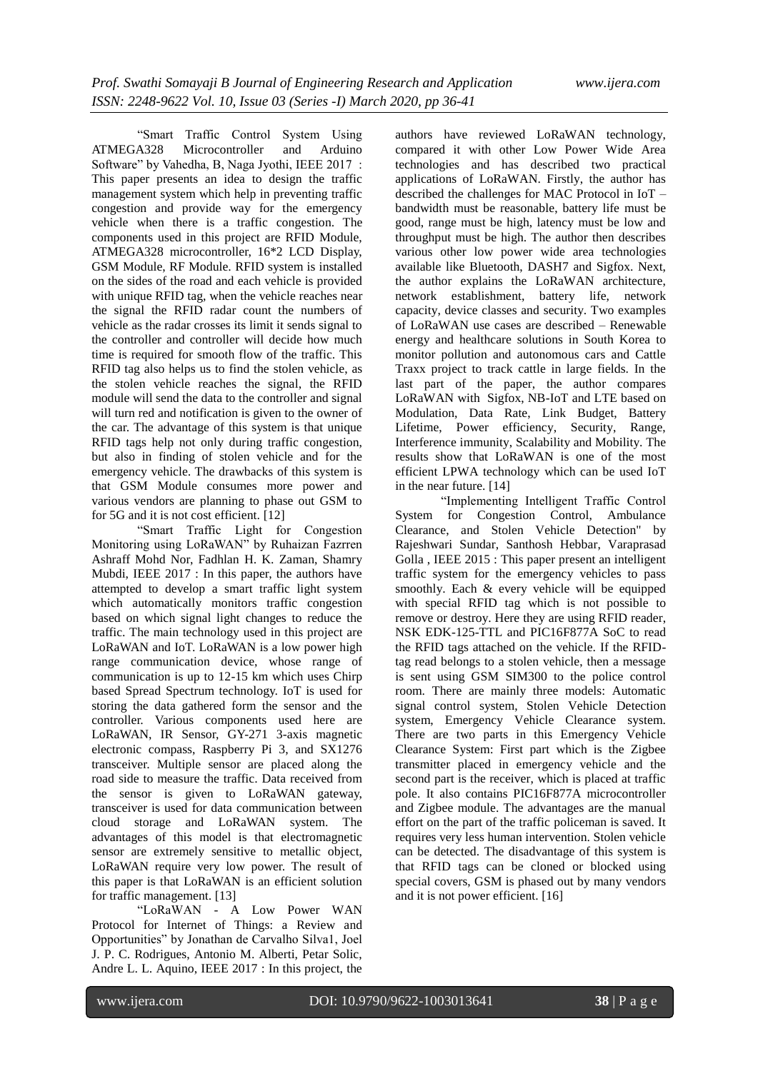"Smart Traffic Control System Using ATMEGA328 Microcontroller and Arduino Software" by Vahedha, B, Naga Jyothi, IEEE 2017 : This paper presents an idea to design the traffic management system which help in preventing traffic congestion and provide way for the emergency vehicle when there is a traffic congestion. The components used in this project are RFID Module, ATMEGA328 microcontroller, 16\*2 LCD Display, GSM Module, RF Module. RFID system is installed on the sides of the road and each vehicle is provided with unique RFID tag, when the vehicle reaches near the signal the RFID radar count the numbers of vehicle as the radar crosses its limit it sends signal to the controller and controller will decide how much time is required for smooth flow of the traffic. This RFID tag also helps us to find the stolen vehicle, as the stolen vehicle reaches the signal, the RFID module will send the data to the controller and signal will turn red and notification is given to the owner of the car. The advantage of this system is that unique RFID tags help not only during traffic congestion, but also in finding of stolen vehicle and for the emergency vehicle. The drawbacks of this system is that GSM Module consumes more power and various vendors are planning to phase out GSM to for 5G and it is not cost efficient. [12]

"Smart Traffic Light for Congestion Monitoring using LoRaWAN" by Ruhaizan Fazrren Ashraff Mohd Nor, Fadhlan H. K. Zaman, Shamry Mubdi, IEEE 2017 : In this paper, the authors have attempted to develop a smart traffic light system which automatically monitors traffic congestion based on which signal light changes to reduce the traffic. The main technology used in this project are LoRaWAN and IoT. LoRaWAN is a low power high range communication device, whose range of communication is up to 12-15 km which uses Chirp based Spread Spectrum technology. IoT is used for storing the data gathered form the sensor and the controller. Various components used here are LoRaWAN, IR Sensor, GY-271 3-axis magnetic electronic compass, Raspberry Pi 3, and SX1276 transceiver. Multiple sensor are placed along the road side to measure the traffic. Data received from the sensor is given to LoRaWAN gateway, transceiver is used for data communication between cloud storage and LoRaWAN system. The advantages of this model is that electromagnetic sensor are extremely sensitive to metallic object, LoRaWAN require very low power. The result of this paper is that LoRaWAN is an efficient solution for traffic management. [13]

"LoRaWAN - A Low Power WAN Protocol for Internet of Things: a Review and Opportunities" by Jonathan de Carvalho Silva1, Joel J. P. C. Rodrigues, Antonio M. Alberti, Petar Solic, Andre L. L. Aquino, IEEE 2017 : In this project, the

authors have reviewed LoRaWAN technology, compared it with other Low Power Wide Area technologies and has described two practical applications of LoRaWAN. Firstly, the author has described the challenges for MAC Protocol in IoT – bandwidth must be reasonable, battery life must be good, range must be high, latency must be low and throughput must be high. The author then describes various other low power wide area technologies available like Bluetooth, DASH7 and Sigfox. Next, the author explains the LoRaWAN architecture, network establishment, battery life, network capacity, device classes and security. Two examples of LoRaWAN use cases are described – Renewable energy and healthcare solutions in South Korea to monitor pollution and autonomous cars and Cattle Traxx project to track cattle in large fields. In the last part of the paper, the author compares LoRaWAN with Sigfox, NB-IoT and LTE based on Modulation, Data Rate, Link Budget, Battery Lifetime, Power efficiency, Security, Range, Interference immunity, Scalability and Mobility. The results show that LoRaWAN is one of the most efficient LPWA technology which can be used IoT in the near future. [14]

"Implementing Intelligent Traffic Control System for Congestion Control, Ambulance Clearance, and Stolen Vehicle Detection" by Rajeshwari Sundar, Santhosh Hebbar, Varaprasad Golla , IEEE 2015 : This paper present an intelligent traffic system for the emergency vehicles to pass smoothly. Each & every vehicle will be equipped with special RFID tag which is not possible to remove or destroy. Here they are using RFID reader, NSK EDK-125-TTL and PIC16F877A SoC to read the RFID tags attached on the vehicle. If the RFIDtag read belongs to a stolen vehicle, then a message is sent using GSM SIM300 to the police control room. There are mainly three models: Automatic signal control system, Stolen Vehicle Detection system, Emergency Vehicle Clearance system. There are two parts in this Emergency Vehicle Clearance System: First part which is the Zigbee transmitter placed in emergency vehicle and the second part is the receiver, which is placed at traffic pole. It also contains PIC16F877A microcontroller and Zigbee module. The advantages are the manual effort on the part of the traffic policeman is saved. It requires very less human intervention. Stolen vehicle can be detected. The disadvantage of this system is that RFID tags can be cloned or blocked using special covers, GSM is phased out by many vendors and it is not power efficient. [16]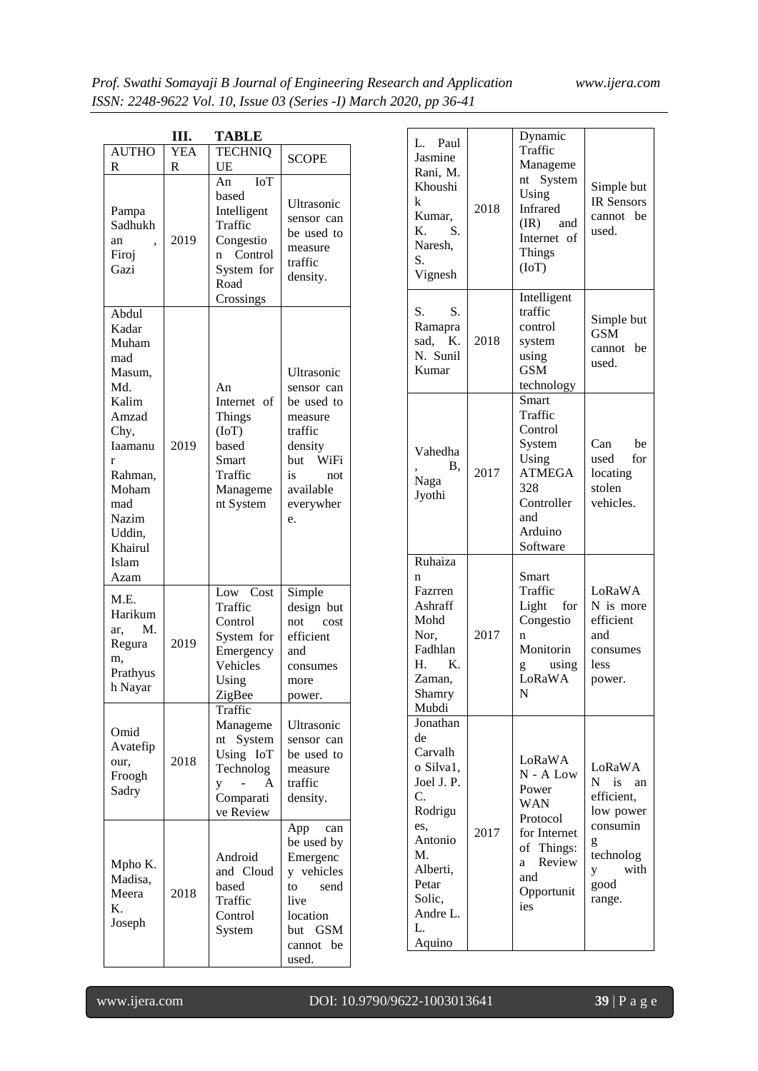|                                                                                                                                                                     | Ш.              | <b>TABLE</b>                                                                                                        |                                                                                                                                  |
|---------------------------------------------------------------------------------------------------------------------------------------------------------------------|-----------------|---------------------------------------------------------------------------------------------------------------------|----------------------------------------------------------------------------------------------------------------------------------|
| <b>AUTHO</b><br>R                                                                                                                                                   | <b>YEA</b><br>R | <b>TECHNIQ</b><br>UE                                                                                                | <b>SCOPE</b>                                                                                                                     |
| Pampa<br>Sadhukh<br>an<br>Firoj<br>Gazi                                                                                                                             | 2019            | <b>IoT</b><br>An<br>based<br>Intelligent<br>Traffic<br>Congestio<br>Control<br>n<br>System for<br>Road<br>Crossings | Ultrasonic<br>sensor can<br>be used to<br>measure<br>traffic<br>density.                                                         |
| Abdul<br>Kadar<br>Muham<br>mad<br>Masum,<br>Md.<br>Kalim<br>Amzad<br>Chy,<br>Iaamanu<br>r<br>Rahman,<br>Moham<br>mad<br>Nazim<br>Uddin,<br>Khairul<br>Islam<br>Azam | 2019            | An<br>Internet of<br>Things<br>(IoT)<br>based<br>Smart<br>Traffic<br>Manageme<br>nt System                          | Ultrasonic<br>sensor can<br>be used to<br>measure<br>traffic<br>density<br>but WiFi<br>is<br>not<br>available<br>everywher<br>e. |
| M.E.<br>Harikum<br>M.<br>ar,<br>Regura<br>m.<br>Prathyus<br>h Nayar                                                                                                 | 2019            | Low Cost<br>Traffic<br>Control<br>System for<br>Emergency<br>Vehicles<br>Using<br>ZigBee                            | Simple<br>design but<br>not<br>cost<br>efficient<br>and<br>consumes<br>more<br>power.                                            |
| Omid<br>Avatefip<br>our,<br>Froogh<br>Sadry                                                                                                                         | 2018            | Traffic<br>Manageme<br>System<br>nt<br>Using IoT<br>Technolog<br>A<br>y<br>Comparati<br>ve Review                   | Ultrasonic<br>sensor can<br>be used to<br>measure<br>traffic<br>density.                                                         |
| Mpho K.<br>Madisa,<br>Meera<br>K.<br>Joseph                                                                                                                         | 2018            | Android<br>and Cloud<br>based<br>Traffic<br>Control<br>System                                                       | App<br>can<br>be used by<br>Emergenc<br>y vehicles<br>to<br>send<br>live<br>location<br>but GSM<br>be<br>cannot<br>used.         |

| Paul<br>L.<br>Jasmine<br>Rani, M.<br>Khoushi<br>k<br>Kumar,<br>K.<br>S.<br>Naresh,<br>S.<br>Vignesh                                                      | 2018 | Dynamic<br>Traffic<br>Manageme<br>nt System<br>Using<br>Infrared<br>$(IR)$ and<br>Internet of<br><b>Things</b><br>(IoT)    | Simple but<br><b>IR Sensors</b><br>cannot be<br>used.                                                          |
|----------------------------------------------------------------------------------------------------------------------------------------------------------|------|----------------------------------------------------------------------------------------------------------------------------|----------------------------------------------------------------------------------------------------------------|
| S.<br>S.<br>Ramapra<br>- K.<br>sad.<br>N. Sunil<br>Kumar                                                                                                 | 2018 | Intelligent<br>traffic<br>control<br>system<br>using<br><b>GSM</b><br>technology                                           | Simple but<br>GSM<br>cannot<br>be<br>used.                                                                     |
| Vahedha<br>В.<br>Naga<br>Jyothi                                                                                                                          | 2017 | Smart<br>Traffic<br>Control<br>System<br>Using<br><b>ATMEGA</b><br>328<br>Controller<br>and<br>Arduino<br>Software         | Can<br>be<br>for<br>used<br>locating<br>stolen<br>vehicles.                                                    |
| Ruhaiza<br>n<br>Fazrren<br>Ashraff<br>Mohd<br>Nor,<br>Fadhlan<br>H.<br>Κ.<br>Zaman,<br>Shamry<br>Mubdi                                                   | 2017 | Smart<br>Traffic<br>Light<br>for<br>Congestio<br>n<br>Monitorin<br>using<br>g<br>LoRaWA<br>N                               | LoRaWA<br>N is more<br>efficient<br>and<br>consumes<br>less<br>power.                                          |
| Jonathan<br>de<br>Carvalh<br>o Silva1,<br>Joel J. P.<br>C.<br>Rodrigu<br>es,<br>Antonio<br>M.<br>Alberti,<br>Petar<br>Solic,<br>Andre L.<br>L.<br>Aquino | 2017 | LoRaWA<br>$N - A$ Low<br>Power<br>WAN<br>Protocol<br>for Internet<br>of Things:<br>Review<br>a<br>and<br>Opportunit<br>ies | LoRaWA<br>$N$ is<br>an<br>efficient,<br>low power<br>consumin<br>g<br>technolog<br>with<br>y<br>good<br>range. |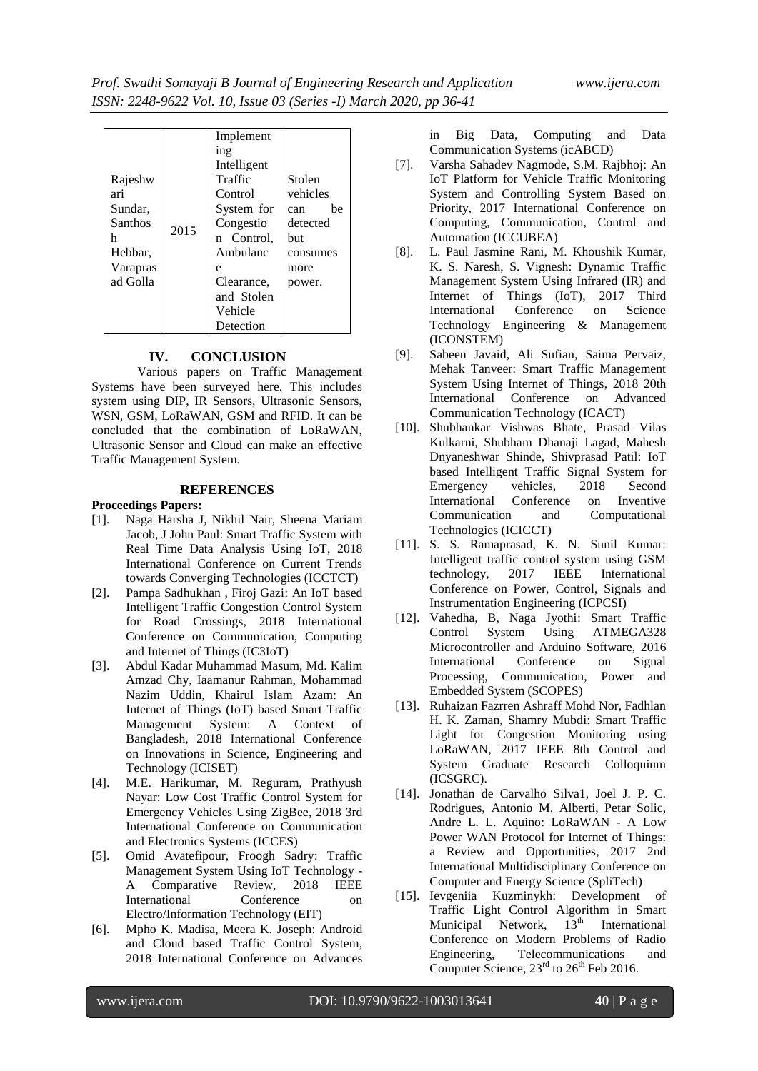| Rajeshw<br>ari<br>Sundar.<br><b>Santhos</b><br>h<br>Hebbar,<br>Varapras<br>ad Golla | 2015 | Implement<br>1ng<br>Intelligent<br>Traffic<br>Control<br>System for<br>Congestio<br>n Control,<br>Ambulanc<br>e<br>Clearance,<br>and Stolen<br>Vehicle<br>Detection | Stolen<br>vehicles<br>he<br>can<br>detected<br>but<br>consumes<br>more<br>power. |
|-------------------------------------------------------------------------------------|------|---------------------------------------------------------------------------------------------------------------------------------------------------------------------|----------------------------------------------------------------------------------|
|-------------------------------------------------------------------------------------|------|---------------------------------------------------------------------------------------------------------------------------------------------------------------------|----------------------------------------------------------------------------------|

#### **IV. CONCLUSION**

Various papers on Traffic Management Systems have been surveyed here. This includes system using DIP, IR Sensors, Ultrasonic Sensors, WSN, GSM, LoRaWAN, GSM and RFID. It can be concluded that the combination of LoRaWAN, Ultrasonic Sensor and Cloud can make an effective Traffic Management System.

#### **REFERENCES**

**Proceedings Papers:**

- [1]. Naga Harsha J, Nikhil Nair, Sheena Mariam Jacob, J John Paul: Smart Traffic System with Real Time Data Analysis Using IoT, 2018 International Conference on Current Trends towards Converging Technologies (ICCTCT)
- [2]. Pampa Sadhukhan , Firoj Gazi: An IoT based Intelligent Traffic Congestion Control System for Road Crossings, 2018 International Conference on Communication, Computing and Internet of Things (IC3IoT)
- [3]. Abdul Kadar Muhammad Masum, Md. Kalim Amzad Chy, Iaamanur Rahman, Mohammad Nazim Uddin, Khairul Islam Azam: An Internet of Things (IoT) based Smart Traffic Management System: A Context of Bangladesh, 2018 International Conference on Innovations in Science, Engineering and Technology (ICISET)
- [4]. M.E. Harikumar, M. Reguram, Prathyush Nayar: Low Cost Traffic Control System for Emergency Vehicles Using ZigBee, 2018 3rd International Conference on Communication and Electronics Systems (ICCES)
- [5]. Omid Avatefipour, Froogh Sadry: Traffic Management System Using IoT Technology - A Comparative Review, 2018 IEEE International Conference on Electro/Information Technology (EIT)
- [6]. Mpho K. Madisa, Meera K. Joseph: Android and Cloud based Traffic Control System, 2018 International Conference on Advances

in Big Data, Computing and Data Communication Systems (icABCD)

- [7]. Varsha Sahadev Nagmode, S.M. Rajbhoj: An IoT Platform for Vehicle Traffic Monitoring System and Controlling System Based on Priority, 2017 International Conference on Computing, Communication, Control and Automation (ICCUBEA)
- [8]. L. Paul Jasmine Rani, M. Khoushik Kumar, K. S. Naresh, S. Vignesh: Dynamic Traffic Management System Using Infrared (IR) and Internet of Things (IoT), 2017 Third International Conference on Science Technology Engineering & Management (ICONSTEM)
- [9]. Sabeen Javaid, Ali Sufian, Saima Pervaiz, Mehak Tanveer: Smart Traffic Management System Using Internet of Things, 2018 20th International Conference on Advanced Communication Technology (ICACT)
- [10]. Shubhankar Vishwas Bhate, Prasad Vilas Kulkarni, Shubham Dhanaji Lagad, Mahesh Dnyaneshwar Shinde, Shivprasad Patil: IoT based Intelligent Traffic Signal System for<br>Emergency vehicles. 2018 Second Emergency vehicles, 2018 Second International Conference on Inventive Communication and Computational Technologies (ICICCT)
- [11]. S. S. Ramaprasad, K. N. Sunil Kumar: Intelligent traffic control system using GSM technology, 2017 IEEE International Conference on Power, Control, Signals and Instrumentation Engineering (ICPCSI)
- [12]. Vahedha, B, Naga Jyothi: Smart Traffic ATMEGA328 Microcontroller and Arduino Software, 2016 International Conference on Signal Processing, Communication, Power and Embedded System (SCOPES)
- [13]. Ruhaizan Fazrren Ashraff Mohd Nor, Fadhlan H. K. Zaman, Shamry Mubdi: Smart Traffic Light for Congestion Monitoring using LoRaWAN, 2017 IEEE 8th Control and System Graduate Research Colloquium (ICSGRC).
- [14]. Jonathan de Carvalho Silva1, Joel J. P. C. Rodrigues, Antonio M. Alberti, Petar Solic, Andre L. L. Aquino: LoRaWAN - A Low Power WAN Protocol for Internet of Things: a Review and Opportunities, 2017 2nd International Multidisciplinary Conference on Computer and Energy Science (SpliTech)
- [15]. Ievgeniia Kuzminykh: Development of Traffic Light Control Algorithm in Smart<br>Municipal Network, 13<sup>th</sup> International Municipal Network,  $13<sup>th</sup>$  International Conference on Modern Problems of Radio Engineering, Telecommunications and Computer Science,  $23<sup>rd</sup>$  to  $26<sup>th</sup>$  Feb 2016.